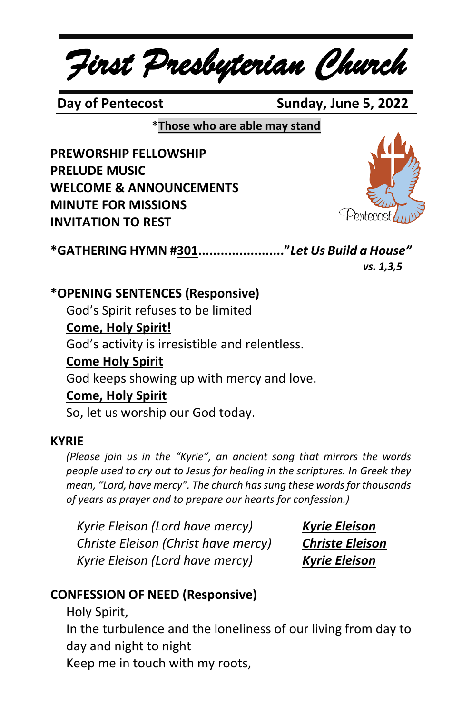*First Presbyterian Church*

**Day of Pentecost** Sunday, June 5, 2022

**\*Those who are able may stand**

**PREWORSHIP FELLOWSHIP PRELUDE MUSIC WELCOME & ANNOUNCEMENTS MINUTE FOR MISSIONS INVITATION TO REST**



**\*GATHERING HYMN #301......................."***Let Us Build a House"*

 *vs. 1,3,5*

**\*OPENING SENTENCES (Responsive)**

God's Spirit refuses to be limited

# **Come, Holy Spirit!**

God's activity is irresistible and relentless.

#### **Come Holy Spirit**

God keeps showing up with mercy and love.

#### **Come, Holy Spirit**

So, let us worship our God today.

#### **KYRIE**

*(Please join us in the "Kyrie", an ancient song that mirrors the words people used to cry out to Jesus for healing in the scriptures. In Greek they mean, "Lord, have mercy". The church has sung these words for thousands of years as prayer and to prepare our hearts for confession.)*

*Kyrie Eleison (Lord have mercy) Kyrie Eleison Christe Eleison (Christ have mercy) Christe Eleison Kyrie Eleison (Lord have mercy) Kyrie Eleison*

# **CONFESSION OF NEED (Responsive)**

Holy Spirit,

In the turbulence and the loneliness of our living from day to day and night to night

Keep me in touch with my roots,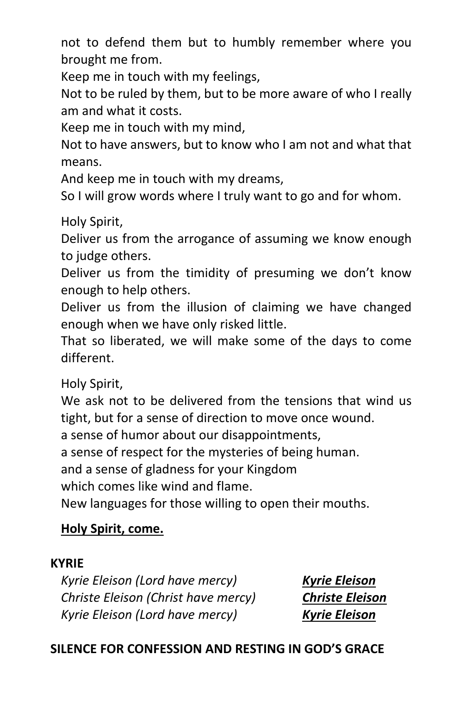not to defend them but to humbly remember where you brought me from.

Keep me in touch with my feelings,

Not to be ruled by them, but to be more aware of who I really am and what it costs.

Keep me in touch with my mind,

Not to have answers, but to know who I am not and what that means.

And keep me in touch with my dreams,

So I will grow words where I truly want to go and for whom.

Holy Spirit,

Deliver us from the arrogance of assuming we know enough to judge others.

Deliver us from the timidity of presuming we don't know enough to help others.

Deliver us from the illusion of claiming we have changed enough when we have only risked little.

That so liberated, we will make some of the days to come different.

Holy Spirit,

We ask not to be delivered from the tensions that wind us tight, but for a sense of direction to move once wound.

a sense of humor about our disappointments,

a sense of respect for the mysteries of being human.

and a sense of gladness for your Kingdom

which comes like wind and flame.

New languages for those willing to open their mouths.

# **Holy Spirit, come.**

#### **KYRIE**

*Kyrie Eleison (Lord have mercy) Kyrie Eleison Christe Eleison (Christ have mercy) Christe Eleison Kyrie Eleison (Lord have mercy) Kyrie Eleison*

# **SILENCE FOR CONFESSION AND RESTING IN GOD'S GRACE**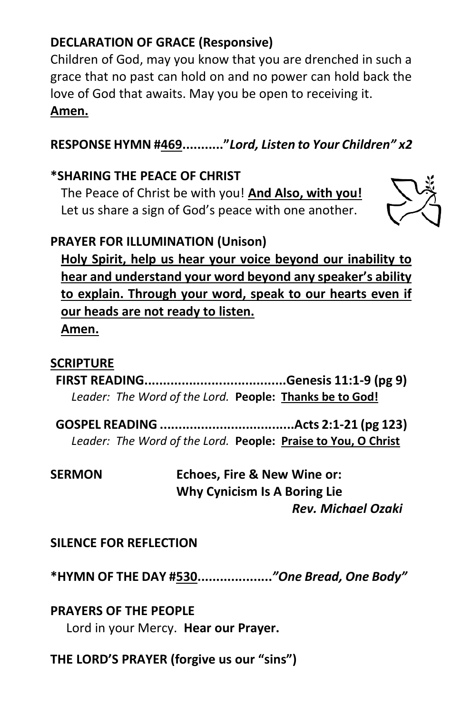# **DECLARATION OF GRACE (Responsive)**

Children of God, may you know that you are drenched in such a grace that no past can hold on and no power can hold back the love of God that awaits. May you be open to receiving it.

#### **Amen.**

# **RESPONSE HYMN #469..........."***Lord, Listen to Your Children" x2*

### **\*SHARING THE PEACE OF CHRIST**

The Peace of Christ be with you! **And Also, with you!** Let us share a sign of God's peace with one another.



# **PRAYER FOR ILLUMINATION (Unison)**

**Holy Spirit, help us hear your voice beyond our inability to hear and understand your word beyond any speaker's ability to explain. Through your word, speak to our hearts even if our heads are not ready to listen. Amen.**

### **SCRIPTURE**

**FIRST READING......................................Genesis 11:1-9 (pg 9)** *Leader: The Word of the Lord.* **People: Thanks be to God!**

**GOSPEL READING ....................................Acts 2:1-21 (pg 123)** *Leader: The Word of the Lord.* **People: Praise to You, O Christ**

**SERMON Echoes, Fire & New Wine or: Why Cynicism Is A Boring Lie**  *Rev. Michael Ozaki*

**SILENCE FOR REFLECTION**

**\*HYMN OF THE DAY #530....................***"One Bread, One Body"*

**PRAYERS OF THE PEOPLE**

Lord in your Mercy. **Hear our Prayer.**

**THE LORD'S PRAYER (forgive us our "sins")**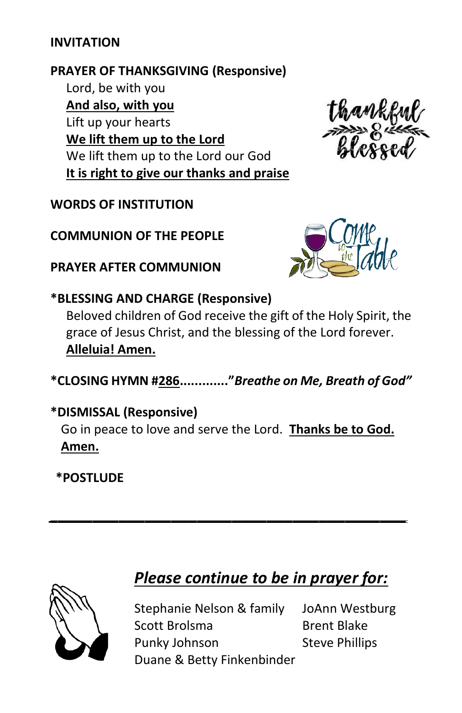#### **INVITATION**

#### **PRAYER OF THANKSGIVING (Responsive)**

Lord, be with you **And also, with you** Lift up your hearts **We lift them up to the Lord** We lift them up to the Lord our God **It is right to give our thanks and praise**

#### **WORDS OF INSTITUTION**

**COMMUNION OF THE PEOPLE**

**PRAYER AFTER COMMUNION**



# **\*BLESSING AND CHARGE (Responsive)**

Beloved children of God receive the gift of the Holy Spirit, the grace of Jesus Christ, and the blessing of the Lord forever. **Alleluia! Amen.**

**\*CLOSING HYMN #286............."***Breathe on Me, Breath of God"*

# **\*DISMISSAL (Responsive)** Go in peace to love and serve the Lord. **Thanks be to God. Amen.**

*\_\_\_\_\_\_\_\_\_\_\_\_\_\_\_\_\_\_\_\_\_\_\_\_\_\_\_\_\_\_\_\_\_\_\_\_\_\_\_\_\_*

**\*POSTLUDE**



# *Please continue to be in prayer for:*

Stephanie Nelson & family JoAnn Westburg Scott Brolsma<br>
Brent Blake Punky Johnson Steve Phillips Duane & Betty Finkenbinder